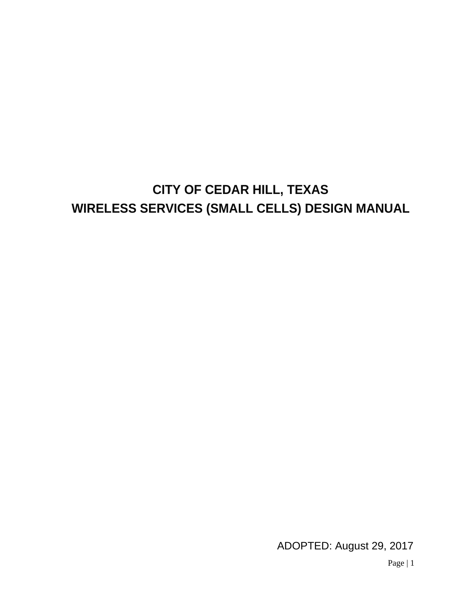# **CITY OF CEDAR HILL, TEXAS WIRELESS SERVICES (SMALL CELLS) DESIGN MANUAL**

ADOPTED: August 29, 2017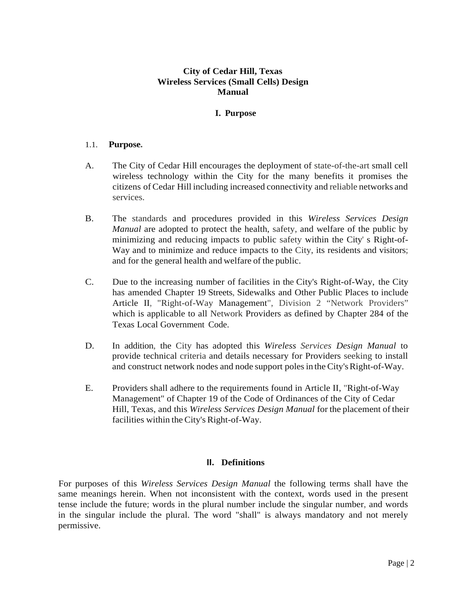# **City of Cedar Hill, Texas Wireless Services (Small Cells) Design Manual**

## **I. Purpose**

#### 1.1. **Purpose.**

- A. The City of Cedar Hill encourages the deployment of state-of-the-art small cell wireless technology within the City for the many benefits it promises the citizens of Cedar Hill including increased connectivity and reliable networks and services.
- B. The standards and procedures provided in this *Wireless Services Design Manual* are adopted to protect the health, safety, and welfare of the public by minimizing and reducing impacts to public safety within the City' s Right-of-Way and to minimize and reduce impacts to the City, its residents and visitors; and for the general health and welfare of the public.
- C. Due to the increasing number of facilities in the City's Right-of-Way, the City has amended Chapter 19 Streets, Sidewalks and Other Public Places to include Article II, "Right-of-Way Management", Division 2 "Network Providers" which is applicable to all Network Providers as defined by Chapter 284 of the Texas Local Government Code.
- D. In addition, the City has adopted this *Wireless Services Design Manual* to provide technical criteria and details necessary for Providers seeking to install and construct network nodes and node support poles in the City's Right-of-Way.
- E. Providers shall adhere to the requirements found in Article II, "Right-of-Way Management" of Chapter 19 of the Code of Ordinances of the City of Cedar Hill, Texas, and this *Wireless Services Design Manual* for the placement of their facilities within the City's Right-of-Way.

#### **II. Definitions**

For purposes of this *Wireless Services Design Manual* the following terms shall have the same meanings herein. When not inconsistent with the context, words used in the present tense include the future; words in the plural number include the singular number, and words in the singular include the plural. The word "shall" is always mandatory and not merely permissive.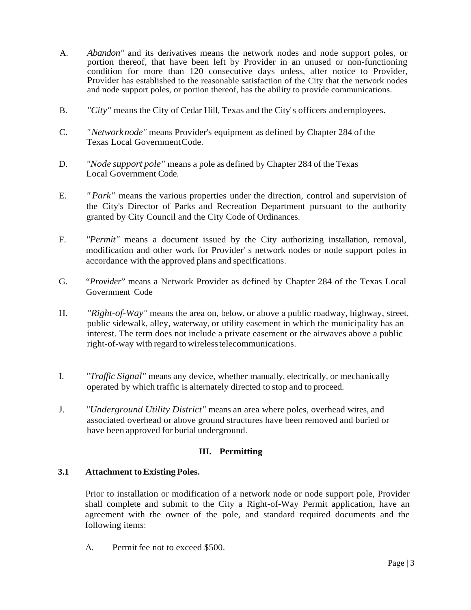- A. *Abandon"* and its derivatives means the network nodes and node support poles, or portion thereof, that have been left by Provider in an unused or non-functioning condition for more than 120 consecutive days unless, after notice to Provider, Provider has established to the reasonable satisfaction of the City that the network nodes and node support poles, or portion thereof, has the ability to provide communications.
- B. *"City"* means the City of Cedar Hill, Texas and the City's officers and employees.
- C. *"Networknode"* means Provider's equipment as defined by Chapter 284 of the Texas Local GovernmentCode.
- D. *"Node support pole"* means a pole as defined by Chapter 284 of the Texas Local Government Code.
- E. *" Park"* means the various properties under the direction, control and supervision of the City's Director of Parks and Recreation Department pursuant to the authority granted by City Council and the City Code of Ordinances.
- F. *"Permit"* means a document issued by the City authorizing installation, removal, modification and other work for Provider' s network nodes or node support poles in accordance with the approved plans and specifications.
- G. "*Provider*" means a Network Provider as defined by Chapter 284 of the Texas Local Government Code
- H. *"Right-of-Way"* means the area on, below, or above a public roadway, highway, street, public sidewalk, alley, waterway, or utility easement in which the municipality has an interest. The term does not include a private easement or the airwaves above a public right-of-way with regard to wirelesstelecommunications.
- I. *"Traffic Signal"* means any device, whether manually, electrically, or mechanically operated by which traffic is alternately directed to stop and to proceed.
- J. *"Underground Utility District"* means an area where poles, overhead wires, and associated overhead or above ground structures have been removed and buried or have been approved for burial underground.

# **III. Permitting**

# **3.1 Attachment toExistingPoles.**

Prior to installation or modification of a network node or node support pole, Provider shall complete and submit to the City a Right-of-Way Permit application, have an agreement with the owner of the pole, and standard required documents and the following items:

A. Permit fee not to exceed \$500.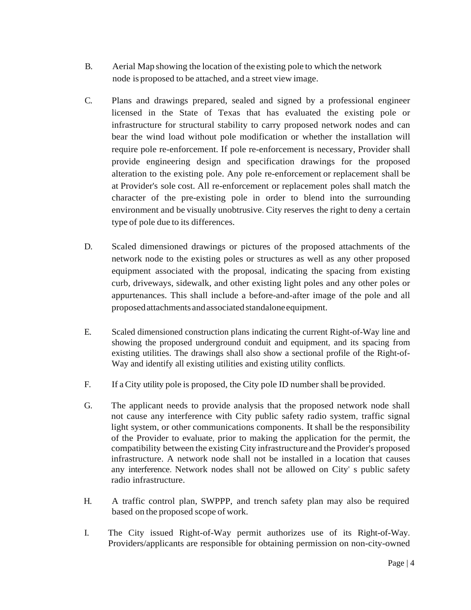- B. Aerial Map showing the location of the existing pole to which the network node is proposed to be attached, and a street view image.
- C. Plans and drawings prepared, sealed and signed by a professional engineer licensed in the State of Texas that has evaluated the existing pole or infrastructure for structural stability to carry proposed network nodes and can bear the wind load without pole modification or whether the installation will require pole re-enforcement. If pole re-enforcement is necessary, Provider shall provide engineering design and specification drawings for the proposed alteration to the existing pole. Any pole re-enforcement or replacement shall be at Provider's sole cost. All re-enforcement or replacement poles shall match the character of the pre-existing pole in order to blend into the surrounding environment and be visually unobtrusive. City reserves the right to deny a certain type of pole due to its differences.
- D. Scaled dimensioned drawings or pictures of the proposed attachments of the network node to the existing poles or structures as well as any other proposed equipment associated with the proposal, indicating the spacing from existing curb, driveways, sidewalk, and other existing light poles and any other poles or appurtenances. This shall include a before-and-after image of the pole and all proposedattachments andassociated standaloneequipment.
- E. Scaled dimensioned construction plans indicating the current Right-of-Way line and showing the proposed underground conduit and equipment, and its spacing from existing utilities. The drawings shall also show a sectional profile of the Right-of-Way and identify all existing utilities and existing utility conflicts.
- F. If a City utility pole is proposed, the City pole ID number shall be provided.
- G. The applicant needs to provide analysis that the proposed network node shall not cause any interference with City public safety radio system, traffic signal light system, or other communications components. It shall be the responsibility of the Provider to evaluate, prior to making the application for the permit, the compatibility between the existing City infrastructure and the Provider's proposed infrastructure. A network node shall not be installed in a location that causes any interference. Network nodes shall not be allowed on City' s public safety radio infrastructure.
- H. A traffic control plan, SWPPP, and trench safety plan may also be required based on the proposed scope of work.
- I. The City issued Right-of-Way permit authorizes use of its Right-of-Way. Providers/applicants are responsible for obtaining permission on non-city-owned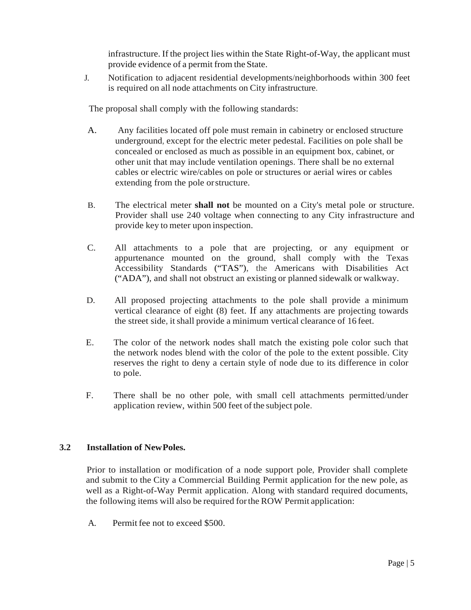infrastructure. If the project lies within the State Right-of-Way, the applicant must provide evidence of a permit from the State.

J. Notification to adjacent residential developments/neighborhoods within 300 feet is required on all node attachments on City infrastructure.

The proposal shall comply with the following standards:

- A. Any facilities located off pole must remain in cabinetry or enclosed structure underground, except for the electric meter pedestal. Facilities on pole shall be concealed or enclosed as much as possible in an equipment box, cabinet, or other unit that may include ventilation openings. There shall be no external cables or electric wire/cables on pole or structures or aerial wires or cables extending from the pole orstructure.
- B. The electrical meter **shall not** be mounted on a City's metal pole or structure. Provider shall use 240 voltage when connecting to any City infrastructure and provide key to meter upon inspection.
- C. All attachments to a pole that are projecting, or any equipment or appurtenance mounted on the ground, shall comply with the Texas Accessibility Standards ("TAS"), the Americans with Disabilities Act ("ADA"), and shall not obstruct an existing or planned sidewalk or walkway.
- D. All proposed projecting attachments to the pole shall provide a minimum vertical clearance of eight (8) feet. If any attachments are projecting towards the street side, it shall provide a minimum vertical clearance of 16 feet.
- E. The color of the network nodes shall match the existing pole color such that the network nodes blend with the color of the pole to the extent possible. City reserves the right to deny a certain style of node due to its difference in color to pole.
- F. There shall be no other pole, with small cell attachments permitted/under application review, within 500 feet of the subject pole.

# **3.2 Installation of NewPoles.**

Prior to installation or modification of a node support pole, Provider shall complete and submit to the City a Commercial Building Permit application for the new pole, as well as a Right-of-Way Permit application. Along with standard required documents, the following items will also be required forthe ROW Permit application:

A. Permit fee not to exceed \$500.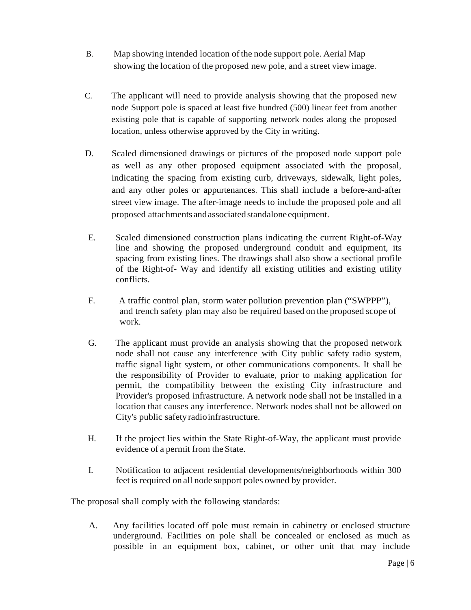- B. Map showing intended location of the node support pole. Aerial Map showing the location of the proposed new pole, and a street view image.
- C. The applicant will need to provide analysis showing that the proposed new node Support pole is spaced at least five hundred (500) linear feet from another existing pole that is capable of supporting network nodes along the proposed location, unless otherwise approved by the City in writing.
- D. Scaled dimensioned drawings or pictures of the proposed node support pole as well as any other proposed equipment associated with the proposal, indicating the spacing from existing curb, driveways, sidewalk, light poles, and any other poles or appurtenances. This shall include a before-and-after street view image. The after-image needs to include the proposed pole and all proposed attachments andassociated standalone equipment.
- E. Scaled dimensioned construction plans indicating the current Right-of-Way line and showing the proposed underground conduit and equipment, its spacing from existing lines. The drawings shall also show a sectional profile of the Right-of- Way and identify all existing utilities and existing utility conflicts.
- F. A traffic control plan, storm water pollution prevention plan ("SWPPP"), and trench safety plan may also be required based on the proposed scope of work.
- G. The applicant must provide an analysis showing that the proposed network node shall not cause any interference with City public safety radio system, traffic signal light system, or other communications components. It shall be the responsibility of Provider to evaluate, prior to making application for permit, the compatibility between the existing City infrastructure and Provider's proposed infrastructure. A network node shall not be installed in a location that causes any interference. Network nodes shall not be allowed on City's public safetyradioinfrastructure.
- H. If the project lies within the State Right-of-Way, the applicant must provide evidence of a permit from the State.
- I. Notification to adjacent residential developments/neighborhoods within 300 feet is required on all node support poles owned by provider.

The proposal shall comply with the following standards:

A. Any facilities located off pole must remain in cabinetry or enclosed structure underground. Facilities on pole shall be concealed or enclosed as much as possible in an equipment box, cabinet, or other unit that may include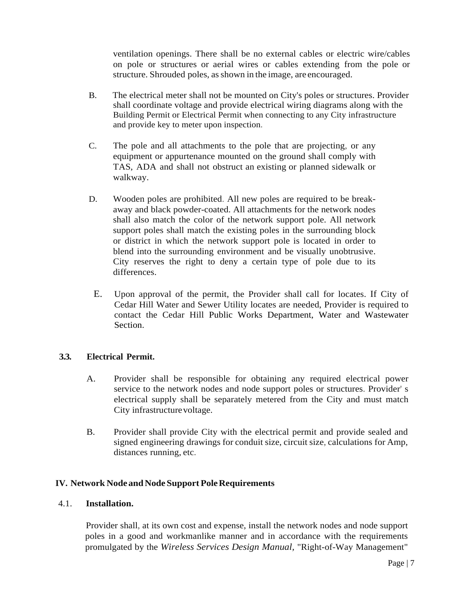ventilation openings. There shall be no external cables or electric wire/cables on pole or structures or aerial wires or cables extending from the pole or structure. Shrouded poles, as shown in the image, are encouraged.

- B. The electrical meter shall not be mounted on City's poles or structures. Provider shall coordinate voltage and provide electrical wiring diagrams along with the Building Permit or Electrical Permit when connecting to any City infrastructure and provide key to meter upon inspection.
- C. The pole and all attachments to the pole that are projecting, or any equipment or appurtenance mounted on the ground shall comply with TAS, ADA and shall not obstruct an existing or planned sidewalk or walkway.
- D. Wooden poles are prohibited. All new poles are required to be breakaway and black powder-coated. All attachments for the network nodes shall also match the color of the network support pole. All network support poles shall match the existing poles in the surrounding block or district in which the network support pole is located in order to blend into the surrounding environment and be visually unobtrusive. City reserves the right to deny a certain type of pole due to its differences.
	- E. Upon approval of the permit, the Provider shall call for locates. If City of Cedar Hill Water and Sewer Utility locates are needed, Provider is required to contact the Cedar Hill Public Works Department, Water and Wastewater Section.

# **3.3. Electrical Permit.**

- A. Provider shall be responsible for obtaining any required electrical power service to the network nodes and node support poles or structures. Provider' s electrical supply shall be separately metered from the City and must match City infrastructure voltage.
- B. Provider shall provide City with the electrical permit and provide sealed and signed engineering drawings for conduit size, circuit size, calculations for Amp, distances running, etc.

# **IV.** Network Node and Node Support Pole Requirements

### 4.1. **Installation.**

Provider shall, at its own cost and expense, install the network nodes and node support poles in a good and workmanlike manner and in accordance with the requirements promulgated by the *Wireless Services Design Manual,* "Right-of-Way Management"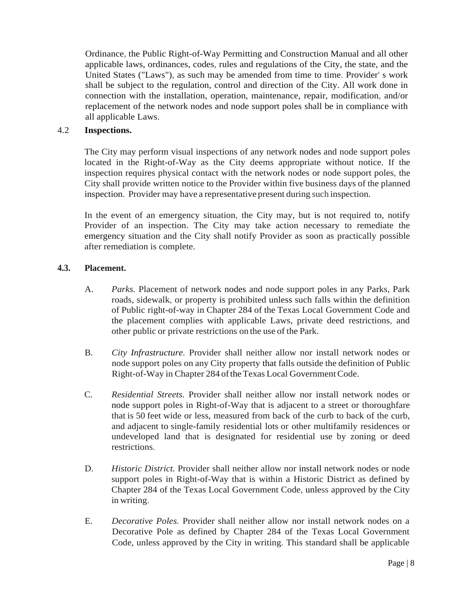Ordinance, the Public Right-of-Way Permitting and Construction Manual and all other applicable laws, ordinances, codes, rules and regulations of the City, the state, and the United States ("Laws"), as such may be amended from time to time. Provider' s work shall be subject to the regulation, control and direction of the City. All work done in connection with the installation, operation, maintenance, repair, modification, and/or replacement of the network nodes and node support poles shall be in compliance with all applicable Laws.

## 4.2 **Inspections.**

The City may perform visual inspections of any network nodes and node support poles located in the Right-of-Way as the City deems appropriate without notice. If the inspection requires physical contact with the network nodes or node support poles, the City shall provide written notice to the Provider within five business days of the planned inspection. Provider may have a representative present during such inspection.

In the event of an emergency situation, the City may, but is not required to, notify Provider of an inspection. The City may take action necessary to remediate the emergency situation and the City shall notify Provider as soon as practically possible after remediation is complete.

## **4.3. Placement.**

- A. *Parks.* Placement of network nodes and node support poles in any Parks, Park roads, sidewalk, or property is prohibited unless such falls within the definition of Public right-of-way in Chapter 284 of the Texas Local Government Code and the placement complies with applicable Laws, private deed restrictions, and other public or private restrictions on the use of the Park.
- B. *City Infrastructure.* Provider shall neither allow nor install network nodes or node support poles on any City property that falls outside the definition of Public Right-of-Way in Chapter 284 of the Texas Local Government Code.
- C. *Residential Streets.* Provider shall neither allow nor install network nodes or node support poles in Right-of-Way that is adjacent to a street or thoroughfare that is 50 feet wide or less, measured from back of the curb to back of the curb, and adjacent to single-family residential lots or other multifamily residences or undeveloped land that is designated for residential use by zoning or deed restrictions.
- D. *Historic District.* Provider shall neither allow nor install network nodes or node support poles in Right-of-Way that is within a Historic District as defined by Chapter 284 of the Texas Local Government Code, unless approved by the City in writing.
- E. *Decorative Poles.* Provider shall neither allow nor install network nodes on a Decorative Pole as defined by Chapter 284 of the Texas Local Government Code, unless approved by the City in writing. This standard shall be applicable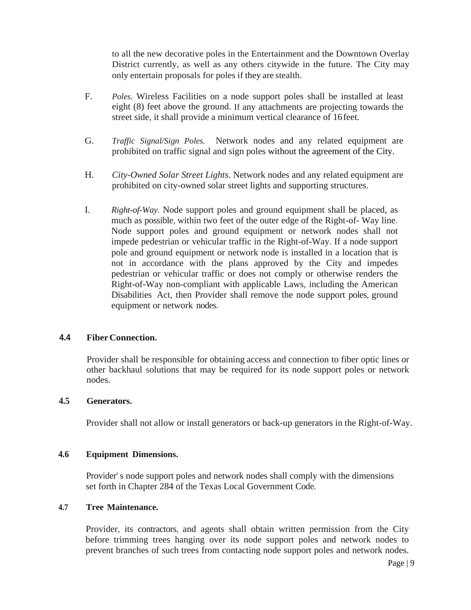to all the new decorative poles in the Entertainment and the Downtown Overlay District currently, as well as any others citywide in the future. The City may only entertain proposals for poles if they are stealth.

- F. *Poles.* Wireless Facilities on a node support poles shall be installed at least eight (8) feet above the ground. If any attachments are projecting towards the street side, it shall provide a minimum vertical clearance of 16feet.
- G. *Traffic Signal/Sign Poles.* Network nodes and any related equipment are prohibited on traffic signal and sign poles without the agreement of the City.
- H. *City-Owned Solar Street Lights*. Network nodes and any related equipment are prohibited on city-owned solar street lights and supporting structures.
- I. *Right-of-Way.* Node support poles and ground equipment shall be placed, as much as possible, within two feet of the outer edge of the Right-of- Way line. Node support poles and ground equipment or network nodes shall not impede pedestrian or vehicular traffic in the Right-of-Way. If a node support pole and ground equipment or network node is installed in a location that is not in accordance with the plans approved by the City and impedes pedestrian or vehicular traffic or does not comply or otherwise renders the Right-of-Way non-compliant with applicable Laws, including the American Disabilities Act, then Provider shall remove the node support poles, ground equipment or network nodes.

# **4.4 FiberConnection.**

Provider shall be responsible for obtaining access and connection to fiber optic lines or other backhaul solutions that may be required for its node support poles or network nodes.

#### **4.5 Generators.**

Provider shall not allow or install generators or back-up generators in the Right-of-Way.

#### **4.6 Equipment Dimensions.**

Provider' s node support poles and network nodes shall comply with the dimensions set forth in Chapter 284 of the Texas Local Government Code.

## **4.7 Tree Maintenance.**

Provider, its contractors, and agents shall obtain written permission from the City before trimming trees hanging over its node support poles and network nodes to prevent branches of such trees from contacting node support poles and network nodes.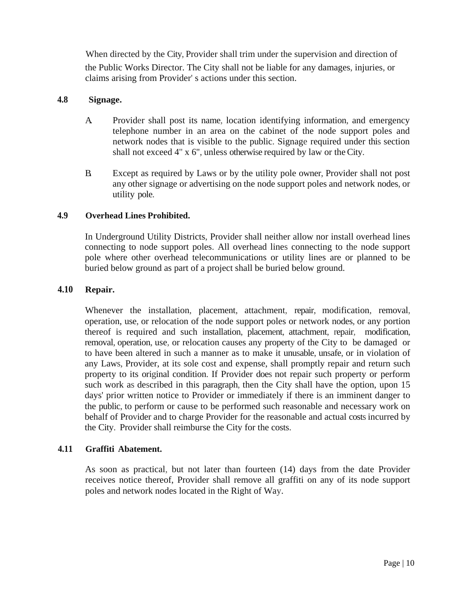When directed by the City, Provider shall trim under the supervision and direction of the Public Works Director. The City shall not be liable for any damages, injuries, or claims arising from Provider' s actions under this section.

# **4.8 Signage.**

- A. Provider shall post its name, location identifying information, and emergency telephone number in an area on the cabinet of the node support poles and network nodes that is visible to the public. Signage required under this section shall not exceed 4" x 6", unless otherwise required by law or theCity.
- B. Except as required by Laws or by the utility pole owner, Provider shall not post any other signage or advertising on the node support poles and network nodes, or utility pole.

# **4.9 Overhead Lines Prohibited.**

In Underground Utility Districts, Provider shall neither allow nor install overhead lines connecting to node support poles. All overhead lines connecting to the node support pole where other overhead telecommunications or utility lines are or planned to be buried below ground as part of a project shall be buried below ground.

# **4.10 Repair.**

Whenever the installation, placement, attachment, repair, modification, removal, operation, use, or relocation of the node support poles or network nodes, or any portion thereof is required and such installation, placement, attachment, repair, modification, removal, operation, use, or relocation causes any property of the City to be damaged or to have been altered in such a manner as to make it unusable, unsafe, or in violation of any Laws, Provider, at its sole cost and expense, shall promptly repair and return such property to its original condition. If Provider does not repair such property or perform such work as described in this paragraph, then the City shall have the option, upon 15 days' prior written notice to Provider or immediately if there is an imminent danger to the public, to perform or cause to be performed such reasonable and necessary work on behalf of Provider and to charge Provider for the reasonable and actual costs incurred by the City. Provider shall reimburse the City for the costs.

# **4.11 Graffiti Abatement.**

As soon as practical, but not later than fourteen (14) days from the date Provider receives notice thereof, Provider shall remove all graffiti on any of its node support poles and network nodes located in the Right of Way.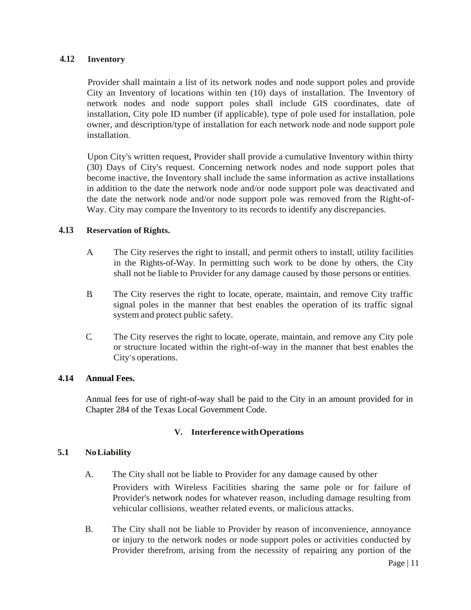## **4.12 Inventory**

Provider shall maintain a list of its network nodes and node support poles and provide City an Inventory of locations within ten (10) days of installation. The Inventory of network nodes and node support poles shall include GIS coordinates, date of installation, City pole ID number (if applicable), type of pole used for installation, pole owner, and description/type of installation for each network node and node support pole installation.

Upon City's written request, Provider shall provide a cumulative Inventory within thirty (30) Days of City's request. Concerning network nodes and node support poles that become inactive, the Inventory shall include the same information as active installations in addition to the date the network node and/or node support pole was deactivated and the date the network node and/or node support pole was removed from the Right-of-Way. City may compare the Inventory to its records to identify any discrepancies.

#### **4.13 Reservation of Rights.**

- A. The City reserves the right to install, and permit others to install, utility facilities in the Rights-of-Way. In permitting such work to be done by others, the City shall not be liable to Provider for any damage caused by those persons or entities.
- B. The City reserves the right to locate, operate, maintain, and remove City traffic signal poles in the manner that best enables the operation of its traffic signal system and protect public safety.
- C. The City reserves the right to locate, operate, maintain, and remove any City pole or structure located within the right-of-way in the manner that best enables the City's operations.

#### **4.14 Annual Fees.**

Annual fees for use of right-of-way shall be paid to the City in an amount provided for in Chapter 284 of the Texas Local Government Code.

# **V. InterferencewithOperations**

# **5.1 NoLiability**

- A. The City shall not be liable to Provider for any damage caused by other Providers with Wireless Facilities sharing the same pole or for failure of Provider's network nodes for whatever reason, including damage resulting from vehicular collisions, weather related events, or malicious attacks.
- B. The City shall not be liable to Provider by reason of inconvenience, annoyance or injury to the network nodes or node support poles or activities conducted by Provider therefrom, arising from the necessity of repairing any portion of the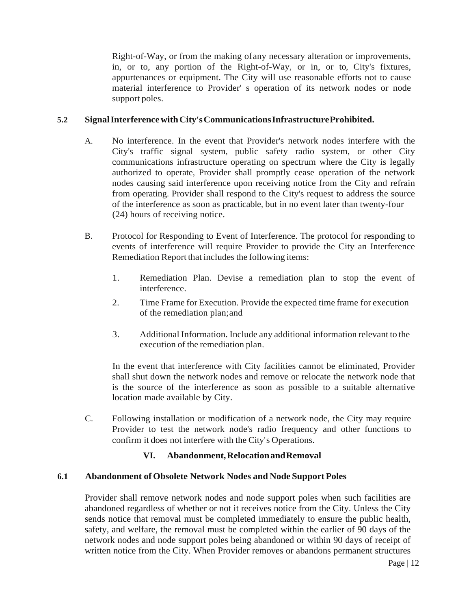Right-of-Way, or from the making ofany necessary alteration or improvements, in, or to, any portion of the Right-of-Way, or in, or to, City's fixtures, appurtenances or equipment. The City will use reasonable efforts not to cause material interference to Provider' s operation of its network nodes or node support poles.

# **5.2 SignalInterferencewithCity'sCommunicationsInfrastructureProhibited.**

- A. No interference. In the event that Provider's network nodes interfere with the City's traffic signal system, public safety radio system, or other City communications infrastructure operating on spectrum where the City is legally authorized to operate, Provider shall promptly cease operation of the network nodes causing said interference upon receiving notice from the City and refrain from operating. Provider shall respond to the City's request to address the source of the interference as soon as practicable, but in no event later than twenty-four (24) hours of receiving notice.
- B. Protocol for Responding to Event of Interference. The protocol for responding to events of interference will require Provider to provide the City an Interference Remediation Report that includes the following items:
	- 1. Remediation Plan. Devise a remediation plan to stop the event of interference.
	- 2. Time Frame for Execution. Provide the expected time frame for execution of the remediation plan;and
	- 3. Additional Information. Include any additional information relevant to the execution of the remediation plan.

In the event that interference with City facilities cannot be eliminated, Provider shall shut down the network nodes and remove or relocate the network node that is the source of the interference as soon as possible to a suitable alternative location made available by City.

C. Following installation or modification of a network node, the City may require Provider to test the network node's radio frequency and other functions to confirm it does not interfere with the City's Operations.

# **VI. Abandonment,RelocationandRemoval**

#### **6.1 Abandonment of Obsolete Network Nodes and Node Support Poles**

Provider shall remove network nodes and node support poles when such facilities are abandoned regardless of whether or not it receives notice from the City. Unless the City sends notice that removal must be completed immediately to ensure the public health, safety, and welfare, the removal must be completed within the earlier of 90 days of the network nodes and node support poles being abandoned or within 90 days of receipt of written notice from the City. When Provider removes or abandons permanent structures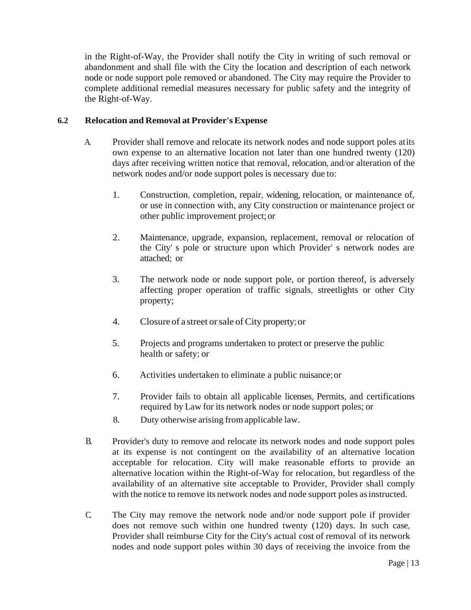in the Right-of-Way, the Provider shall notify the City in writing of such removal or abandonment and shall file with the City the location and description of each network node or node support pole removed or abandoned. The City may require the Provider to complete additional remedial measures necessary for public safety and the integrity of the Right-of-Way.

# **6.2 Relocation and Removal at Provider's Expense**

- A. Provider shall remove and relocate its network nodes and node support poles atits own expense to an alternative location not later than one hundred twenty (120) days after receiving written notice that removal, relocation, and/or alteration of the network nodes and/or node support poles is necessary due to:
	- 1. Construction, completion, repair, widening, relocation, or maintenance of, or use in connection with, any City construction or maintenance project or other public improvement project;or
	- 2. Maintenance, upgrade, expansion, replacement, removal or relocation of the City' s pole or structure upon which Provider' s network nodes are attached; or
	- 3. The network node or node support pole, or portion thereof, is adversely affecting proper operation of traffic signals, streetlights or other City property;
	- 4. Closure of a street orsale ofCity property;or
	- 5. Projects and programs undertaken to protect or preserve the public health or safety; or
	- 6. Activities undertaken to eliminate a public nuisance;or
	- 7. Provider fails to obtain all applicable licenses, Permits, and certifications required by Law for its network nodes or node support poles; or
	- 8. Duty otherwise arising fromapplicable law.
- B. Provider's duty to remove and relocate its network nodes and node support poles at its expense is not contingent on the availability of an alternative location acceptable for relocation. City will make reasonable efforts to provide an alternative location within the Right-of-Way for relocation, but regardless of the availability of an alternative site acceptable to Provider, Provider shall comply with the notice to remove its network nodes and node support poles as instructed.
- C. The City may remove the network node and/or node support pole if provider does not remove such within one hundred twenty (120) days. In such case, Provider shall reimburse City for the City's actual cost of removal of its network nodes and node support poles within 30 days of receiving the invoice from the